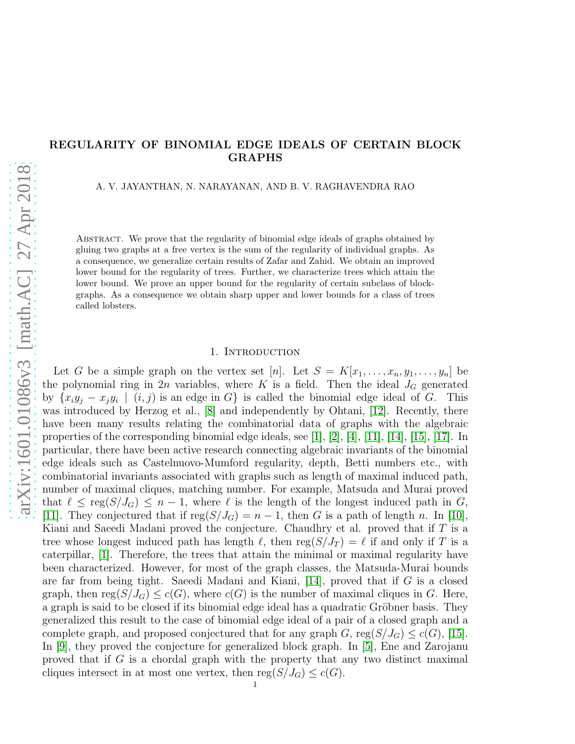# REGULARITY OF BINOMIAL EDGE IDEALS OF CERTAIN BLOCK GRAPHS

A. V. JAYANTHAN, N. NARAYANAN, AND B. V. RAGHAVENDRA RAO

Abstract. We prove that the regularity of binomial edge ideals of graphs obtained by gluing two graphs at a free vertex is the sum of the regularity of individual graphs. As a consequence, we generalize certain results of Zafar and Zahid. We obtain an improved lower bound for the regularity of trees. Further, we characterize trees which attain the lower bound. We prove an upper bound for the regularity of certain subclass of blockgraphs. As a consequence we obtain sharp upper and lower bounds for a class of trees called lobsters.

### 1. INTRODUCTION

Let G be a simple graph on the vertex set [n]. Let  $S = K[x_1, \ldots, x_n, y_1, \ldots, y_n]$  be the polynomial ring in 2n variables, where K is a field. Then the ideal  $J_G$  generated by  $\{x_iy_j - x_jy_i \mid (i,j)$  is an edge in G} is called the binomial edge ideal of G. This was introduced by Herzog et al., [\[8\]](#page-8-0) and independently by Ohtani, [\[12\]](#page-8-1). Recently, there have been many results relating the combinatorial data of graphs with the algebraic properties of the corresponding binomial edge ideals, see [\[1\]](#page-7-0), [\[2\]](#page-7-1), [\[4\]](#page-7-2), [\[11\]](#page-8-2), [\[14\]](#page-8-3), [\[15\]](#page-8-4), [\[17\]](#page-8-5). In particular, there have been active research connecting algebraic invariants of the binomial edge ideals such as Castelnuovo-Mumford regularity, depth, Betti numbers etc., with combinatorial invariants associated with graphs such as length of maximal induced path, number of maximal cliques, matching number. For example, Matsuda and Murai proved that  $\ell \leq \text{reg}(S/J_G) \leq n-1$ , where  $\ell$  is the length of the longest induced path in G, [\[11\]](#page-8-2). They conjectured that if  $reg(S/J_G) = n - 1$ , then G is a path of length n. In [\[10\]](#page-8-6), Kiani and Saeedi Madani proved the conjecture. Chaudhry et al. proved that if  $T$  is a tree whose longest induced path has length  $\ell$ , then reg( $S/J_T$ ) =  $\ell$  if and only if T is a caterpillar, [\[1\]](#page-7-0). Therefore, the trees that attain the minimal or maximal regularity have been characterized. However, for most of the graph classes, the Matsuda-Murai bounds are far from being tight. Saeedi Madani and Kiani, [\[14\]](#page-8-3), proved that if G is a closed graph, then reg $(S/J_G) \leq c(G)$ , where  $c(G)$  is the number of maximal cliques in G. Here, a graph is said to be closed if its binomial edge ideal has a quadratic Gröbner basis. They generalized this result to the case of binomial edge ideal of a pair of a closed graph and a complete graph, and proposed conjectured that for any graph G, reg( $S/J_G$ )  $\leq c(G)$ , [\[15\]](#page-8-4). In [\[9\]](#page-8-7), they proved the conjecture for generalized block graph. In [\[5\]](#page-8-8), Ene and Zarojanu proved that if  $G$  is a chordal graph with the property that any two distinct maximal cliques intersect in at most one vertex, then  $reg(S/J_G) \leq c(G)$ .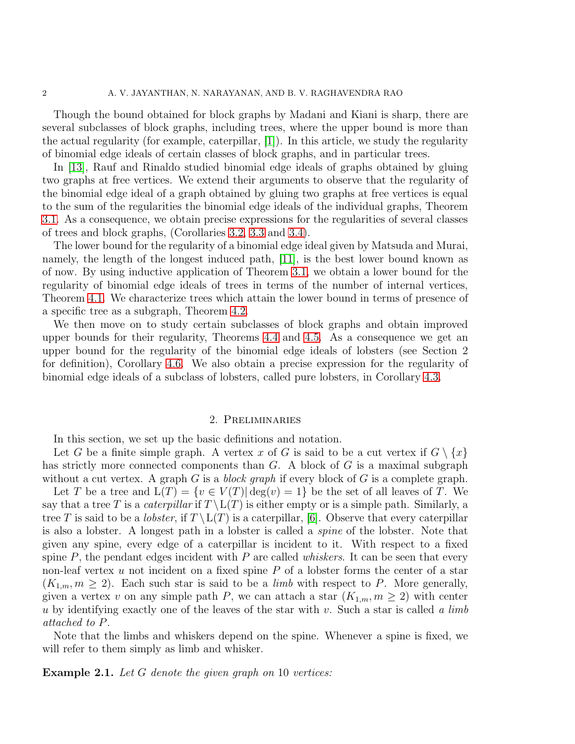Though the bound obtained for block graphs by Madani and Kiani is sharp, there are several subclasses of block graphs, including trees, where the upper bound is more than the actual regularity (for example, caterpillar, [\[1\]](#page-7-0)). In this article, we study the regularity of binomial edge ideals of certain classes of block graphs, and in particular trees.

In [\[13\]](#page-8-9), Rauf and Rinaldo studied binomial edge ideals of graphs obtained by gluing two graphs at free vertices. We extend their arguments to observe that the regularity of the binomial edge ideal of a graph obtained by gluing two graphs at free vertices is equal to the sum of the regularities the binomial edge ideals of the individual graphs, Theorem [3.1.](#page-2-0) As a consequence, we obtain precise expressions for the regularities of several classes of trees and block graphs, (Corollaries [3.2,](#page-2-1) [3.3](#page-3-0) and 3.4).

The lower bound for the regularity of a binomial edge ideal given by Matsuda and Murai, namely, the length of the longest induced path, [\[11\]](#page-8-2), is the best lower bound known as of now. By using inductive application of Theorem [3.1,](#page-2-0) we obtain a lower bound for the regularity of binomial edge ideals of trees in terms of the number of internal vertices, Theorem [4.1.](#page-3-1) We characterize trees which attain the lower bound in terms of presence of a specific tree as a subgraph, Theorem [4.2.](#page-4-0)

We then move on to study certain subclasses of block graphs and obtain improved upper bounds for their regularity, Theorems [4.4](#page-5-0) and [4.5.](#page-5-1) As a consequence we get an upper bound for the regularity of the binomial edge ideals of lobsters (see Section 2 for definition), Corollary [4.6.](#page-6-0) We also obtain a precise expression for the regularity of binomial edge ideals of a subclass of lobsters, called pure lobsters, in Corollary [4.3.](#page-5-2)

#### 2. Preliminaries

In this section, we set up the basic definitions and notation.

Let G be a finite simple graph. A vertex x of G is said to be a cut vertex if  $G \setminus \{x\}$ has strictly more connected components than  $G$ . A block of  $G$  is a maximal subgraph without a cut vertex. A graph G is a block graph if every block of G is a complete graph.

Let T be a tree and  $L(T) = \{v \in V(T) | \deg(v) = 1\}$  be the set of all leaves of T. We say that a tree T is a *caterpillar* if  $T \setminus L(T)$  is either empty or is a simple path. Similarly, a tree T is said to be a *lobster*, if  $T \setminus L(T)$  is a caterpillar, [\[6\]](#page-8-10). Observe that every caterpillar is also a lobster. A longest path in a lobster is called a spine of the lobster. Note that given any spine, every edge of a caterpillar is incident to it. With respect to a fixed spine  $P$ , the pendant edges incident with  $P$  are called *whiskers*. It can be seen that every non-leaf vertex u not incident on a fixed spine  $P$  of a lobster forms the center of a star  $(K_{1,m}, m \geq 2)$ . Each such star is said to be a *limb* with respect to P. More generally, given a vertex v on any simple path P, we can attach a star  $(K_{1,m}, m \geq 2)$  with center u by identifying exactly one of the leaves of the star with v. Such a star is called a limb attached to P.

Note that the limbs and whiskers depend on the spine. Whenever a spine is fixed, we will refer to them simply as limb and whisker.

## **Example 2.1.** Let  $G$  denote the given graph on 10 vertices: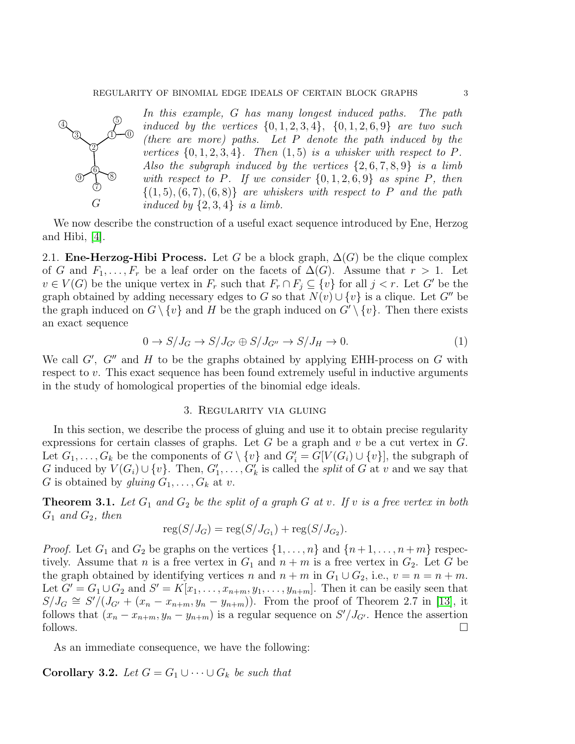

In this example, G has many longest induced paths. The path induced by the vertices  $\{0, 1, 2, 3, 4\}$ ,  $\{0, 1, 2, 6, 9\}$  are two such (there are more) paths. Let P denote the path induced by the vertices  $\{0, 1, 2, 3, 4\}$ . Then  $(1, 5)$  is a whisker with respect to P. Also the subgraph induced by the vertices  $\{2, 6, 7, 8, 9\}$  is a limb with respect to P. If we consider  $\{0, 1, 2, 6, 9\}$  as spine P, then  $\{(1, 5), (6, 7), (6, 8)\}\$  are whiskers with respect to P and the path induced by  $\{2,3,4\}$  is a limb.

We now describe the construction of a useful exact sequence introduced by Ene, Herzog and Hibi, [\[4\]](#page-7-2).

2.1. **Ene-Herzog-Hibi Process.** Let G be a block graph,  $\Delta(G)$  be the clique complex of G and  $F_1, \ldots, F_r$  be a leaf order on the facets of  $\Delta(G)$ . Assume that  $r > 1$ . Let  $v \in V(G)$  be the unique vertex in  $F_r$  such that  $F_r \cap F_j \subseteq \{v\}$  for all  $j < r$ . Let G' be the graph obtained by adding necessary edges to G so that  $N(v) \cup \{v\}$  is a clique. Let G'' be the graph induced on  $G \setminus \{v\}$  and H be the graph induced on  $G' \setminus \{v\}$ . Then there exists an exact sequence

<span id="page-2-2"></span>
$$
0 \to S/J_G \to S/J_{G'} \oplus S/J_{G''} \to S/J_H \to 0. \tag{1}
$$

We call  $G'$ ,  $G''$  and  $H$  to be the graphs obtained by applying EHH-process on  $G$  with respect to v. This exact sequence has been found extremely useful in inductive arguments in the study of homological properties of the binomial edge ideals.

### 3. Regularity via gluing

In this section, we describe the process of gluing and use it to obtain precise regularity expressions for certain classes of graphs. Let G be a graph and  $v$  be a cut vertex in  $G$ . Let  $G_1, \ldots, G_k$  be the components of  $G \setminus \{v\}$  and  $G'_i = G[V(G_i) \cup \{v\}]$ , the subgraph of G induced by  $V(G_i) \cup \{v\}$ . Then,  $G'_1, \ldots, G'_k$  is called the *split* of G at v and we say that G is obtained by gluing  $G_1, \ldots, G_k$  at v.

<span id="page-2-0"></span>**Theorem 3.1.** Let  $G_1$  and  $G_2$  be the split of a graph G at v. If v is a free vertex in both  $G_1$  and  $G_2$ , then

$$
reg(S/J_G) = reg(S/J_{G_1}) + reg(S/J_{G_2}).
$$

*Proof.* Let  $G_1$  and  $G_2$  be graphs on the vertices  $\{1, \ldots, n\}$  and  $\{n+1, \ldots, n+m\}$  respectively. Assume that n is a free vertex in  $G_1$  and  $n + m$  is a free vertex in  $G_2$ . Let G be the graph obtained by identifying vertices n and  $n + m$  in  $G_1 \cup G_2$ , i.e.,  $v = n = n + m$ . Let  $G' = G_1 \cup G_2$  and  $S' = K[x_1, \ldots, x_{n+m}, y_1, \ldots, y_{n+m}]$ . Then it can be easily seen that  $S/J_G \cong S'/(J_{G'} + (x_n - x_{n+m}, y_n - y_{n+m}))$ . From the proof of Theorem 2.7 in [\[13\]](#page-8-9), it follows that  $(x_n - x_{n+m}, y_n - y_{n+m})$  is a regular sequence on  $S'/J_{G'}$ . Hence the assertion follows.  $\Box$ 

As an immediate consequence, we have the following:

<span id="page-2-1"></span>**Corollary 3.2.** Let  $G = G_1 \cup \cdots \cup G_k$  be such that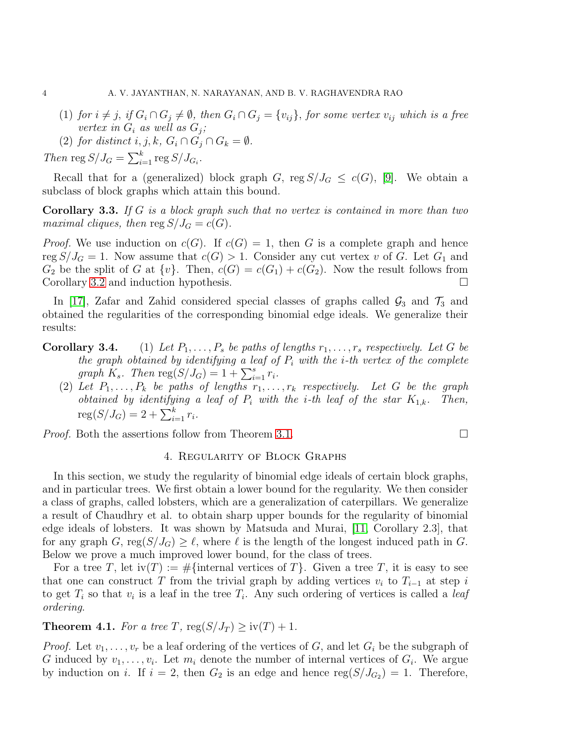- (1) for  $i \neq j$ , if  $G_i \cap G_j \neq \emptyset$ , then  $G_i \cap G_j = \{v_{ij}\}\$ , for some vertex  $v_{ij}$  which is a free vertex in  $G_i$  as well as  $G_j$ ;
- (2) for distinct i, j, k,  $G_i \cap G_j \cap G_k = \emptyset$ .

Then reg  $S/J_G = \sum_{i=1}^k \text{reg } S/J_{G_i}.$ 

Recall that for a (generalized) block graph G, reg  $S/J_G \leq c(G)$ , [\[9\]](#page-8-7). We obtain a subclass of block graphs which attain this bound.

<span id="page-3-0"></span>Corollary 3.3. If G is a block graph such that no vertex is contained in more than two maximal cliques, then reg  $S/J_G = c(G)$ .

*Proof.* We use induction on  $c(G)$ . If  $c(G) = 1$ , then G is a complete graph and hence reg  $S/J_G = 1$ . Now assume that  $c(G) > 1$ . Consider any cut vertex v of G. Let  $G_1$  and  $G_2$  be the split of G at  $\{v\}$ . Then,  $c(G) = c(G_1) + c(G_2)$ . Now the result follows from Corollary [3.2](#page-2-1) and induction hypothesis.

In [\[17\]](#page-8-5), Zafar and Zahid considered special classes of graphs called  $\mathcal{G}_3$  and  $\mathcal{T}_3$  and obtained the regularities of the corresponding binomial edge ideals. We generalize their results:

- **Corollary 3.4.** (1) Let  $P_1, \ldots, P_s$  be paths of lengths  $r_1, \ldots, r_s$  respectively. Let G be the graph obtained by identifying a leaf of  $P_i$  with the *i*-th vertex of the complete graph  $K_s$ . Then  $\text{reg}(S/J_G) = 1 + \sum_{i=1}^s r_i$ .
	- (2) Let  $P_1, \ldots, P_k$  be paths of lengths  $r_1, \ldots, r_k$  respectively. Let G be the graph obtained by identifying a leaf of  $P_i$  with the *i*-th leaf of the star  $K_{1,k}$ . Then,  $\text{reg}(S/J_G) = 2 + \sum_{i=1}^{k} r_i.$

*Proof.* Both the assertions follow from Theorem [3.1.](#page-2-0)  $\Box$ 

### 4. Regularity of Block Graphs

In this section, we study the regularity of binomial edge ideals of certain block graphs, and in particular trees. We first obtain a lower bound for the regularity. We then consider a class of graphs, called lobsters, which are a generalization of caterpillars. We generalize a result of Chaudhry et al. to obtain sharp upper bounds for the regularity of binomial edge ideals of lobsters. It was shown by Matsuda and Murai, [\[11,](#page-8-2) Corollary 2.3], that for any graph G, reg $(S/J_G) \geq \ell$ , where  $\ell$  is the length of the longest induced path in G. Below we prove a much improved lower bound, for the class of trees.

For a tree T, let  $\text{iv}(T) := \#\{\text{internal vertices of } T\}$ . Given a tree T, it is easy to see that one can construct T from the trivial graph by adding vertices  $v_i$  to  $T_{i-1}$  at step i to get  $T_i$  so that  $v_i$  is a leaf in the tree  $T_i$ . Any such ordering of vertices is called a *leaf* ordering.

# <span id="page-3-1"></span>**Theorem 4.1.** For a tree T,  $reg(S/J_T) \geq iv(T) + 1$ .

*Proof.* Let  $v_1, \ldots, v_r$  be a leaf ordering of the vertices of G, and let  $G_i$  be the subgraph of G induced by  $v_1, \ldots, v_i$ . Let  $m_i$  denote the number of internal vertices of  $G_i$ . We argue by induction on *i*. If  $i = 2$ , then  $G_2$  is an edge and hence  $reg(S/J_{G_2}) = 1$ . Therefore,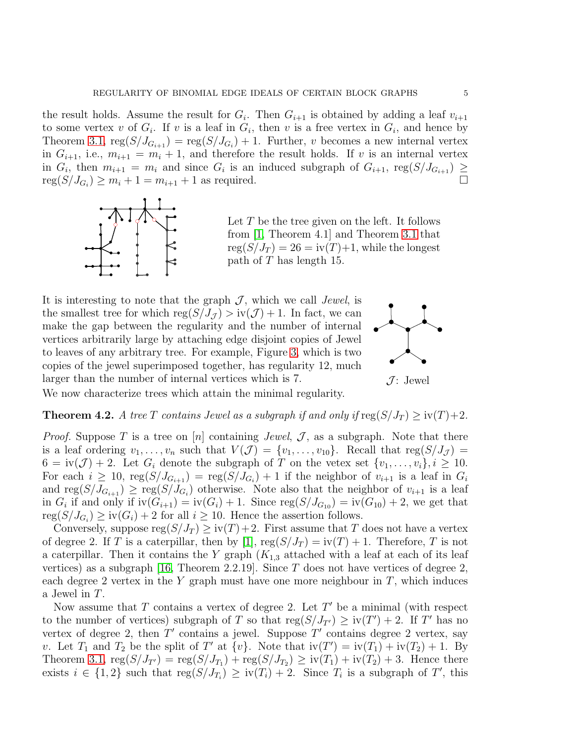the result holds. Assume the result for  $G_i$ . Then  $G_{i+1}$  is obtained by adding a leaf  $v_{i+1}$ to some vertex v of  $G_i$ . If v is a leaf in  $G_i$ , then v is a free vertex in  $G_i$ , and hence by Theorem [3.1,](#page-2-0)  $reg(S/J_{G_{i+1}}) = reg(S/J_{G_i}) + 1$ . Further, v becomes a new internal vertex in  $G_{i+1}$ , i.e.,  $m_{i+1} = m_i + 1$ , and therefore the result holds. If v is an internal vertex in  $G_i$ , then  $m_{i+1} = m_i$  and since  $G_i$  is an induced subgraph of  $G_{i+1}$ , reg $(S/J_{G_{i+1}}) \ge$  $\operatorname{reg}(S/J_{G_i}) \geq m_i + 1 = m_{i+1} + 1$  as required.



Let  $T$  be the tree given on the left. It follows from [\[1,](#page-7-0) Theorem 4.1] and Theorem [3.1](#page-2-0) that  $reg(S/J_T) = 26 = iv(T)+1$ , while the longest path of T has length 15.

It is interesting to note that the graph  $\mathcal{J}$ , which we call *Jewel*, is the smallest tree for which  $reg(S/J_{\mathcal{J}}) > iv(\mathcal{J}) + 1$ . In fact, we can make the gap between the regularity and the number of internal vertices arbitrarily large by attaching edge disjoint copies of Jewel to leaves of any arbitrary tree. For example, Figure [3,](#page-7-3) which is two copies of the jewel superimposed together, has regularity 12, much larger than the number of internal vertices which is 7.  $\mathcal{J}$ : Jewel





We now characterize trees which attain the minimal regularity.

<span id="page-4-0"></span>**Theorem 4.2.** A tree T contains Jewel as a subgraph if and only if  $\text{reg}(S/J_T) \geq \text{iv}(T) + 2$ .

*Proof.* Suppose T is a tree on [n] containing *Jewel*,  $\mathcal{J}$ , as a subgraph. Note that there is a leaf ordering  $v_1, \ldots, v_n$  such that  $V(\mathcal{J}) = \{v_1, \ldots, v_{10}\}.$  Recall that  $reg(S/J_{\mathcal{J}})$  $6 = \text{iv}(\mathcal{J}) + 2$ . Let  $G_i$  denote the subgraph of T on the vetex set  $\{v_1, \ldots, v_i\}, i \geq 10$ . For each  $i \geq 10$ ,  $reg(S/J_{G_{i+1}}) = reg(S/J_{G_i}) + 1$  if the neighbor of  $v_{i+1}$  is a leaf in  $G_i$ and  $\text{reg}(S/J_{G_{i+1}}) \geq \text{reg}(S/J_{G_i})$  otherwise. Note also that the neighbor of  $v_{i+1}$  is a leaf in  $G_i$  if and only if  $iv(G_{i+1}) = iv(G_i) + 1$ . Since  $reg(S/J_{G_{10}}) = iv(G_{10}) + 2$ , we get that  $reg(S/J_{G_i}) \geq iv(G_i) + 2$  for all  $i \geq 10$ . Hence the assertion follows.

Conversely, suppose  $reg(S/J_T) \geq iv(T) + 2$ . First assume that T does not have a vertex of degree 2. If T is a caterpillar, then by [\[1\]](#page-7-0),  $reg(S/J_T) = iv(T) + 1$ . Therefore, T is not a caterpillar. Then it contains the Y graph  $(K_{1,3}$  attached with a leaf at each of its leaf vertices) as a subgraph [\[16,](#page-8-11) Theorem 2.2.19]. Since T does not have vertices of degree 2, each degree 2 vertex in the Y graph must have one more neighbour in  $T$ , which induces a Jewel in T.

Now assume that  $T$  contains a vertex of degree 2. Let  $T'$  be a minimal (with respect to the number of vertices) subgraph of T so that  $reg(S/J_{T'}) \geq iv(T') + 2$ . If T' has no vertex of degree 2, then  $T'$  contains a jewel. Suppose  $T'$  contains degree 2 vertex, say v. Let  $T_1$  and  $T_2$  be the split of T' at  $\{v\}$ . Note that  $iv(T') = iv(T_1) + iv(T_2) + 1$ . By Theorem [3.1,](#page-2-0)  $reg(S/J_{T'}) = reg(S/J_{T_1}) + reg(S/J_{T_2}) \geq iv(T_1) + iv(T_2) + 3$ . Hence there exists  $i \in \{1,2\}$  such that  $reg(S/J_{T_i}) \geq iv(T_i) + 2$ . Since  $T_i$  is a subgraph of T', this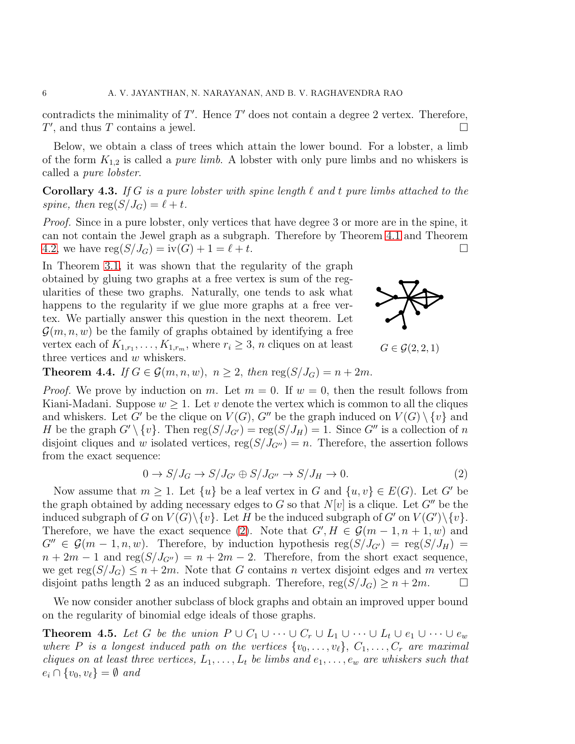contradicts the minimality of  $T'$ . Hence  $T'$  does not contain a degree 2 vertex. Therefore,  $T'$ , and thus T contains a jewel.

Below, we obtain a class of trees which attain the lower bound. For a lobster, a limb of the form  $K_{1,2}$  is called a *pure limb*. A lobster with only pure limbs and no whiskers is called a pure lobster.

<span id="page-5-2"></span>Corollary 4.3. If G is a pure lobster with spine length  $\ell$  and  $t$  pure limbs attached to the spine, then  $\text{reg}(S/J_G) = \ell + t$ .

Proof. Since in a pure lobster, only vertices that have degree 3 or more are in the spine, it can not contain the Jewel graph as a subgraph. Therefore by Theorem [4.1](#page-3-1) and Theorem [4.2,](#page-4-0) we have  $reg(S/J_G) = iv(G) + 1 = \ell + t$ .

In Theorem [3.1,](#page-2-0) it was shown that the regularity of the graph obtained by gluing two graphs at a free vertex is sum of the regularities of these two graphs. Naturally, one tends to ask what happens to the regularity if we glue more graphs at a free vertex. We partially answer this question in the next theorem. Let  $\mathcal{G}(m,n,w)$  be the family of graphs obtained by identifying a free vertex each of  $K_{1,r_1}, \ldots, K_{1,r_m}$ , where  $r_i \geq 3$ , *n* cliques on at least three vertices and w whiskers.



 $G \in \mathcal{G}(2,2,1)$ 

<span id="page-5-0"></span>**Theorem 4.4.** If  $G \in \mathcal{G}(m, n, w)$ ,  $n \geq 2$ , then  $reg(S/J_G) = n + 2m$ .

*Proof.* We prove by induction on m. Let  $m = 0$ . If  $w = 0$ , then the result follows from Kiani-Madani. Suppose  $w \geq 1$ . Let v denote the vertex which is common to all the cliques and whiskers. Let G' be the clique on  $V(G)$ , G'' be the graph induced on  $V(G) \setminus \{v\}$  and H be the graph  $G' \setminus \{v\}$ . Then  $reg(S/J_{G'}) = reg(S/J_H) = 1$ . Since  $G''$  is a collection of n disjoint cliques and w isolated vertices,  $reg(S/J_{G''}) = n$ . Therefore, the assertion follows from the exact sequence:

<span id="page-5-3"></span>
$$
0 \to S/J_G \to S/J_{G'} \oplus S/J_{G''} \to S/J_H \to 0. \tag{2}
$$

Now assume that  $m > 1$ . Let  $\{u\}$  be a leaf vertex in G and  $\{u, v\} \in E(G)$ . Let G' be the graph obtained by adding necessary edges to G so that  $N[v]$  is a clique. Let  $G''$  be the induced subgraph of G on  $V(G) \setminus \{v\}$ . Let H be the induced subgraph of G' on  $V(G') \setminus \{v\}$ . Therefore, we have the exact sequence [\(2\)](#page-5-3). Note that  $G', H \in \mathcal{G}(m-1, n+1, w)$  and  $G'' \in \mathcal{G}(m-1,n,w)$ . Therefore, by induction hypothesis reg $(S/J_{G'}) = \text{reg}(S/J_H)$  $n + 2m - 1$  and reg( $S/J_{G''}$ ) =  $n + 2m - 2$ . Therefore, from the short exact sequence, we get reg $(S/J_G) \leq n+2m$ . Note that G contains n vertex disjoint edges and m vertex disjoint paths length 2 as an induced subgraph. Therefore,  $reg(S/J_G) \geq n + 2m$ .

We now consider another subclass of block graphs and obtain an improved upper bound on the regularity of binomial edge ideals of those graphs.

<span id="page-5-1"></span>**Theorem 4.5.** Let G be the union  $P \cup C_1 \cup \cdots \cup C_r \cup L_1 \cup \cdots \cup L_t \cup e_1 \cup \cdots \cup e_w$ where P is a longest induced path on the vertices  $\{v_0, \ldots, v_\ell\}$ ,  $C_1, \ldots, C_r$  are maximal cliques on at least three vertices,  $L_1, \ldots, L_t$  be limbs and  $e_1, \ldots, e_w$  are whiskers such that  $e_i \cap \{v_0, v_\ell\} = \emptyset$  and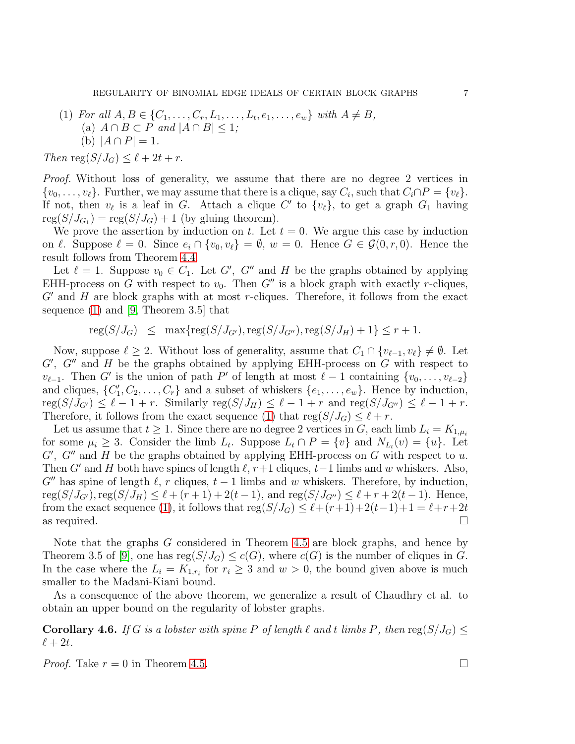(1) For all  $A, B \in \{C_1, \ldots, C_r, L_1, \ldots, L_t, e_1, \ldots, e_w\}$  with  $A \neq B$ , (a)  $A \cap B \subset P$  and  $|A \cap B| \leq 1$ ; (b)  $|A \cap P| = 1$ .

Then reg $(S/J_G) \leq \ell + 2t + r$ .

Proof. Without loss of generality, we assume that there are no degree 2 vertices in  $\{v_0, \ldots, v_\ell\}$ . Further, we may assume that there is a clique, say  $C_i$ , such that  $C_i \cap P = \{v_\ell\}$ . If not, then  $v_{\ell}$  is a leaf in G. Attach a clique C' to  $\{v_{\ell}\}\$ , to get a graph  $G_1$  having  $reg(S/J_{G_1}) = reg(S/J_G) + 1$  (by gluing theorem).

We prove the assertion by induction on t. Let  $t = 0$ . We argue this case by induction on  $\ell$ . Suppose  $\ell = 0$ . Since  $e_i \cap \{v_0, v_\ell\} = \emptyset$ ,  $w = 0$ . Hence  $G \in \mathcal{G}(0, r, 0)$ . Hence the result follows from Theorem [4.4.](#page-5-0)

Let  $\ell = 1$ . Suppose  $v_0 \in C_1$ . Let G', G'' and H be the graphs obtained by applying EHH-process on G with respect to  $v_0$ . Then G'' is a block graph with exactly r-cliques,  $G'$  and  $H$  are block graphs with at most r-cliques. Therefore, it follows from the exact sequence [\(1\)](#page-2-2) and [\[9,](#page-8-7) Theorem 3.5] that

 $\text{reg}(S/J_G) \leq \max\{\text{reg}(S/J_{G'}), \text{reg}(S/J_{G''}), \text{reg}(S/J_H) + 1\} \leq r + 1.$ 

Now, suppose  $\ell \geq 2$ . Without loss of generality, assume that  $C_1 \cap \{v_{\ell-1}, v_{\ell}\} \neq \emptyset$ . Let  $G'$ ,  $G''$  and  $H$  be the graphs obtained by applying EHH-process on  $G$  with respect to  $v_{\ell-1}$ . Then G' is the union of path P' of length at most  $\ell-1$  containing  $\{v_0, \ldots, v_{\ell-2}\}$ and cliques,  $\{C'_1, C_2, \ldots, C_r\}$  and a subset of whiskers  $\{e_1, \ldots, e_w\}$ . Hence by induction,  $\text{reg}(S/J_{G'}) \leq \ell - 1 + r$ . Similarly  $\text{reg}(S/J_H) \leq \ell - 1 + r$  and  $\text{reg}(S/J_{G''}) \leq \ell - 1 + r$ . Therefore, it follows from the exact sequence [\(1\)](#page-2-2) that  $reg(S/J_G) \leq \ell + r$ .

Let us assume that  $t \geq 1$ . Since there are no degree 2 vertices in G, each limb  $L_i = K_{1,\mu_i}$ for some  $\mu_i \geq 3$ . Consider the limb  $L_t$ . Suppose  $L_t \cap P = \{v\}$  and  $N_{L_t}(v) = \{u\}$ . Let  $G'$ ,  $G''$  and  $H$  be the graphs obtained by applying EHH-process on  $G$  with respect to  $u$ . Then G' and H both have spines of length  $\ell$ ,  $r+1$  cliques,  $t-1$  limbs and w whiskers. Also,  $G''$  has spine of length  $\ell$ , r cliques,  $t-1$  limbs and w whiskers. Therefore, by induction,  $reg(S/J_{G'})$ ,  $reg(S/J_H) \leq \ell + (r+1) + 2(t-1)$ , and  $reg(S/J_{G''}) \leq \ell + r + 2(t-1)$ . Hence, from the exact sequence [\(1\)](#page-2-2), it follows that  $reg(S/J_G) \leq \ell + (r+1) + 2(t-1) + 1 = \ell + r + 2t$ as required.  $\Box$ 

Note that the graphs G considered in Theorem [4.5](#page-5-1) are block graphs, and hence by Theorem 3.5 of [\[9\]](#page-8-7), one has  $reg(S/J_G) \leq c(G)$ , where  $c(G)$  is the number of cliques in G. In the case where the  $L_i = K_{1,r_i}$  for  $r_i \geq 3$  and  $w > 0$ , the bound given above is much smaller to the Madani-Kiani bound.

As a consequence of the above theorem, we generalize a result of Chaudhry et al. to obtain an upper bound on the regularity of lobster graphs.

<span id="page-6-0"></span>**Corollary 4.6.** If G is a lobster with spine P of length  $\ell$  and  $t$  limbs P, then  $\text{reg}(S/J_G) \leq$  $\ell+2t$ .

*Proof.* Take  $r = 0$  in Theorem [4.5.](#page-5-1)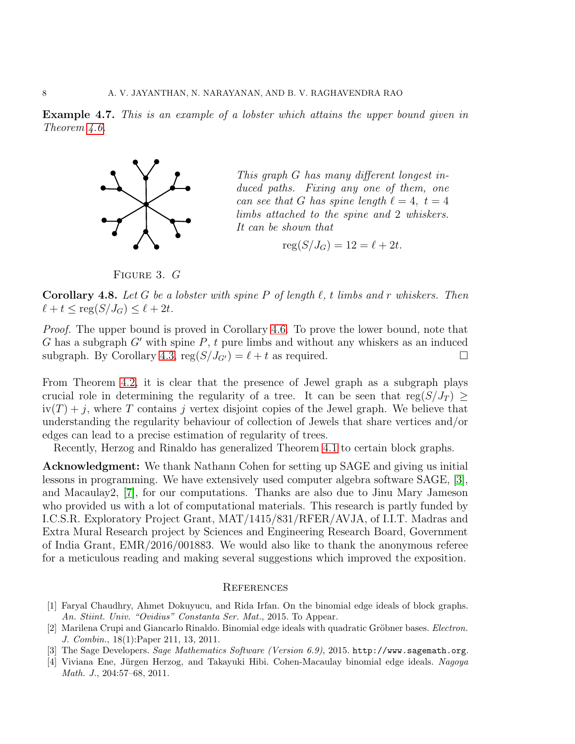<span id="page-7-3"></span>Example 4.7. This is an example of a lobster which attains the upper bound given in Theorem [4.6.](#page-6-0)



This graph G has many different longest induced paths. Fixing any one of them, one can see that G has spine length  $\ell = 4, t = 4$ limbs attached to the spine and 2 whiskers. It can be shown that

$$
reg(S/J_G) = 12 = \ell + 2t.
$$

FIGURE 3. G

**Corollary 4.8.** Let G be a lobster with spine P of length  $\ell$ , t limbs and r whiskers. Then  $\ell + t \leq \text{reg}(S/J_G) \leq \ell + 2t.$ 

*Proof.* The upper bound is proved in Corollary [4.6.](#page-6-0) To prove the lower bound, note that G has a subgraph  $G'$  with spine P, t pure limbs and without any whiskers as an induced subgraph. By Corollary [4.3,](#page-5-2)  $reg(S/J_{G'}) = \ell + t$  as required.

From Theorem [4.2,](#page-4-0) it is clear that the presence of Jewel graph as a subgraph plays crucial role in determining the regularity of a tree. It can be seen that  $reg(S/J_T) \geq$  $iv(T) + j$ , where T contains j vertex disjoint copies of the Jewel graph. We believe that understanding the regularity behaviour of collection of Jewels that share vertices and/or edges can lead to a precise estimation of regularity of trees.

Recently, Herzog and Rinaldo has generalized Theorem [4.1](#page-3-1) to certain block graphs.

Acknowledgment: We thank Nathann Cohen for setting up SAGE and giving us initial lessons in programming. We have extensively used computer algebra software SAGE, [\[3\]](#page-7-4), and Macaulay2, [\[7\]](#page-8-12), for our computations. Thanks are also due to Jinu Mary Jameson who provided us with a lot of computational materials. This research is partly funded by I.C.S.R. Exploratory Project Grant, MAT/1415/831/RFER/AVJA, of I.I.T. Madras and Extra Mural Research project by Sciences and Engineering Research Board, Government of India Grant, EMR/2016/001883. We would also like to thank the anonymous referee for a meticulous reading and making several suggestions which improved the exposition.

#### **REFERENCES**

- <span id="page-7-0"></span>[1] Faryal Chaudhry, Ahmet Dokuyucu, and Rida Irfan. On the binomial edge ideals of block graphs. An. Stiint. Univ. "Ovidius" Constanta Ser. Mat., 2015. To Appear.
- <span id="page-7-1"></span>[2] Marilena Crupi and Giancarlo Rinaldo. Binomial edge ideals with quadratic Gröbner bases. *Electron*. J. Combin., 18(1):Paper 211, 13, 2011.
- <span id="page-7-4"></span><span id="page-7-2"></span>[3] The Sage Developers. Sage Mathematics Software (Version 6.9), 2015. http://www.sagemath.org.
- [4] Viviana Ene, Jürgen Herzog, and Takayuki Hibi. Cohen-Macaulay binomial edge ideals. Nagoya Math. J., 204:57–68, 2011.